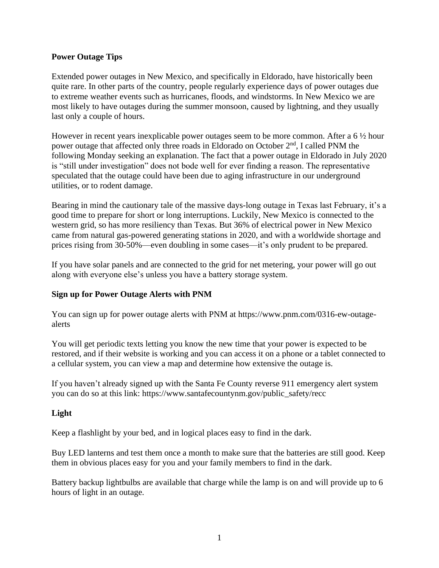### **Power Outage Tips**

Extended power outages in New Mexico, and specifically in Eldorado, have historically been quite rare. In other parts of the country, people regularly experience days of power outages due to extreme weather events such as hurricanes, floods, and windstorms. In New Mexico we are most likely to have outages during the summer monsoon, caused by lightning, and they usually last only a couple of hours.

However in recent years inexplicable power outages seem to be more common. After a 6 ½ hour power outage that affected only three roads in Eldorado on October 2nd, I called PNM the following Monday seeking an explanation. The fact that a power outage in Eldorado in July 2020 is "still under investigation" does not bode well for ever finding a reason. The representative speculated that the outage could have been due to aging infrastructure in our underground utilities, or to rodent damage.

Bearing in mind the cautionary tale of the massive days-long outage in Texas last February, it's a good time to prepare for short or long interruptions. Luckily, New Mexico is connected to the western grid, so has more resiliency than Texas. But 36% of electrical power in New Mexico came from natural gas-powered generating stations in 2020, and with a worldwide shortage and prices rising from 30-50%—even doubling in some cases—it's only prudent to be prepared.

If you have solar panels and are connected to the grid for net metering, your power will go out along with everyone else's unless you have a battery storage system.

#### **Sign up for Power Outage Alerts with PNM**

You can sign up for power outage alerts with PNM at https://www.pnm.com/0316-ew-outagealerts

You will get periodic texts letting you know the new time that your power is expected to be restored, and if their website is working and you can access it on a phone or a tablet connected to a cellular system, you can view a map and determine how extensive the outage is.

If you haven't already signed up with the Santa Fe County reverse 911 emergency alert system you can do so at this link: https://www.santafecountynm.gov/public\_safety/recc

#### **Light**

Keep a flashlight by your bed, and in logical places easy to find in the dark.

Buy LED lanterns and test them once a month to make sure that the batteries are still good. Keep them in obvious places easy for you and your family members to find in the dark.

Battery backup lightbulbs are available that charge while the lamp is on and will provide up to 6 hours of light in an outage.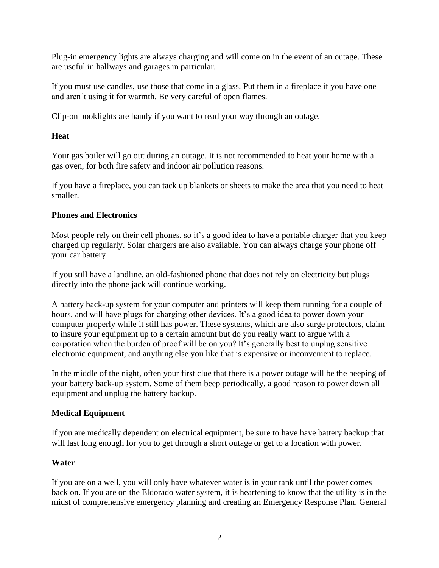Plug-in emergency lights are always charging and will come on in the event of an outage. These are useful in hallways and garages in particular.

If you must use candles, use those that come in a glass. Put them in a fireplace if you have one and aren't using it for warmth. Be very careful of open flames.

Clip-on booklights are handy if you want to read your way through an outage.

# **Heat**

Your gas boiler will go out during an outage. It is not recommended to heat your home with a gas oven, for both fire safety and indoor air pollution reasons.

If you have a fireplace, you can tack up blankets or sheets to make the area that you need to heat smaller.

## **Phones and Electronics**

Most people rely on their cell phones, so it's a good idea to have a portable charger that you keep charged up regularly. Solar chargers are also available. You can always charge your phone off your car battery.

If you still have a landline, an old-fashioned phone that does not rely on electricity but plugs directly into the phone jack will continue working.

A battery back-up system for your computer and printers will keep them running for a couple of hours, and will have plugs for charging other devices. It's a good idea to power down your computer properly while it still has power. These systems, which are also surge protectors, claim to insure your equipment up to a certain amount but do you really want to argue with a corporation when the burden of proof will be on you? It's generally best to unplug sensitive electronic equipment, and anything else you like that is expensive or inconvenient to replace.

In the middle of the night, often your first clue that there is a power outage will be the beeping of your battery back-up system. Some of them beep periodically, a good reason to power down all equipment and unplug the battery backup.

# **Medical Equipment**

If you are medically dependent on electrical equipment, be sure to have have battery backup that will last long enough for you to get through a short outage or get to a location with power.

# **Water**

If you are on a well, you will only have whatever water is in your tank until the power comes back on. If you are on the Eldorado water system, it is heartening to know that the utility is in the midst of comprehensive emergency planning and creating an Emergency Response Plan. General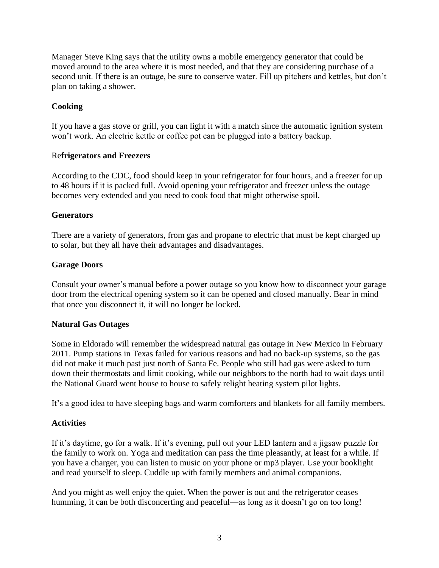Manager Steve King says that the utility owns a mobile emergency generator that could be moved around to the area where it is most needed, and that they are considering purchase of a second unit. If there is an outage, be sure to conserve water. Fill up pitchers and kettles, but don't plan on taking a shower.

## **Cooking**

If you have a gas stove or grill, you can light it with a match since the automatic ignition system won't work. An electric kettle or coffee pot can be plugged into a battery backup.

### Re**frigerators and Freezers**

According to the CDC, food should keep in your refrigerator for four hours, and a freezer for up to 48 hours if it is packed full. Avoid opening your refrigerator and freezer unless the outage becomes very extended and you need to cook food that might otherwise spoil.

### **Generators**

There are a variety of generators, from gas and propane to electric that must be kept charged up to solar, but they all have their advantages and disadvantages.

### **Garage Doors**

Consult your owner's manual before a power outage so you know how to disconnect your garage door from the electrical opening system so it can be opened and closed manually. Bear in mind that once you disconnect it, it will no longer be locked.

#### **Natural Gas Outages**

Some in Eldorado will remember the widespread natural gas outage in New Mexico in February 2011. Pump stations in Texas failed for various reasons and had no back-up systems, so the gas did not make it much past just north of Santa Fe. People who still had gas were asked to turn down their thermostats and limit cooking, while our neighbors to the north had to wait days until the National Guard went house to house to safely relight heating system pilot lights.

It's a good idea to have sleeping bags and warm comforters and blankets for all family members.

## **Activities**

If it's daytime, go for a walk. If it's evening, pull out your LED lantern and a jigsaw puzzle for the family to work on. Yoga and meditation can pass the time pleasantly, at least for a while. If you have a charger, you can listen to music on your phone or mp3 player. Use your booklight and read yourself to sleep. Cuddle up with family members and animal companions.

And you might as well enjoy the quiet. When the power is out and the refrigerator ceases humming, it can be both disconcerting and peaceful—as long as it doesn't go on too long!